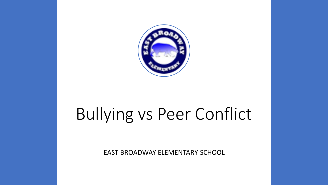

# Bullying vs Peer Conflict

EAST BROADWAY ELEMENTARY SCHOOL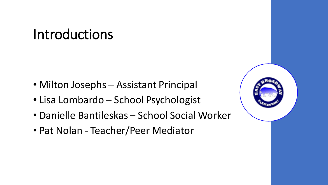#### Introductions

- Milton Josephs Assistant Principal
- Lisa Lombardo School Psychologist
- Danielle Bantileskas School Social Worker
- Pat Nolan Teacher/Peer Mediator

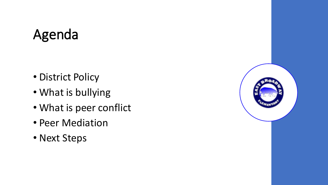# Agenda

- District Policy
- What is bullying
- What is peer conflict
- Peer Mediation
- Next Steps

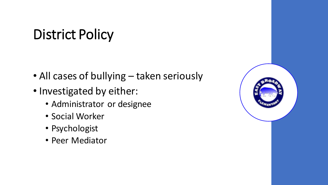# District Policy

- All cases of bullying taken seriously
- Investigated by either:
	- Administrator or designee
	- Social Worker
	- Psychologist
	- Peer Mediator

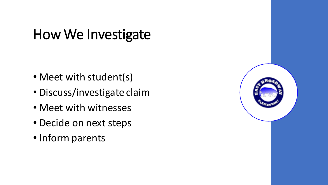#### How We Investigate

- Meet with student(s)
- Discuss/investigate claim
- Meet with witnesses
- Decide on next steps
- Inform parents

| ø.<br>z |  |
|---------|--|
|         |  |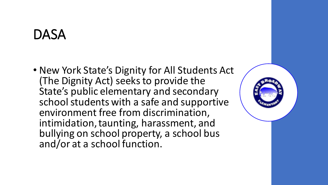#### DASA

• New York State's Dignity for All Students Act (The Dignity Act) seeks to provide the State's public elementary and secondary school students with a safe and supportive environment free from discrimination, intimidation, taunting, harassment, and bullying on school property, a school bus and/or at a school function.

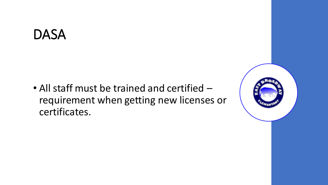#### DASA

• All staff must be trained and certified – requirement when getting new licenses or certificates.

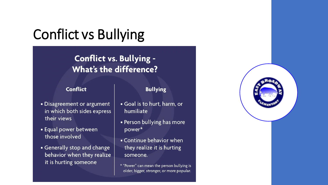## Conflict vs Bullying

#### **Conflict vs. Bullying -**What's the difference?

#### **Conflict**

#### **Bullying**

- Disagreement or argument in which both sides express their views
- Equal power between those involved
- Generally stop and change behavior when they realize it is hurting someone
- · Goal is to hurt, harm, or humiliate
- Person bullying has more power\*
- Continue behavior when they realize it is hurting someone.
- \* "Power" can mean the person bullying is older, bigger, stronger, or more popular.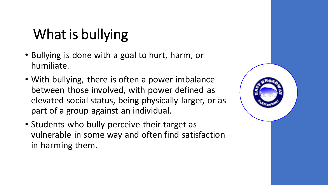# What is bullying

- Bullying is done with a goal to hurt, harm, or humiliate.
- With bullying, there is often a power imbalance between those involved, with power defined as elevated social status, being physically larger, or as part of a group against an individual.
- Students who bully perceive their target as vulnerable in some way and often find satisfaction in harming them.

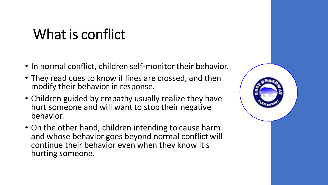### What is conflict

- In normal conflict, children self-monitor their behavior.
- They read cues to know if lines are crossed, and then modify their behavior in response.
- Children guided by empathy usually realize they have hurt someone and will want to stop their negative behavior.
- On the other hand, children intending to cause harm and whose behavior goes beyond normal conflict will continue their behavior even when they know it's hurting someone.

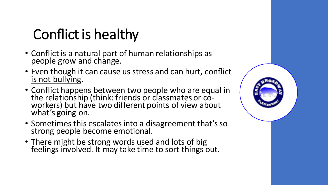# Conflict is healthy

- Conflict is a natural part of human relationships as people grow and change.
- Even though it can cause us stress and can hurt, conflict is not bullying.
- Conflict happens between two people who are equal in the relationship (think: friends or classmates or coworkers) but have two different points of view about what's going on.
- Sometimes this escalates into a disagreement that's so strong people become emotional.
- There might be strong words used and lots of big feelings involved. It may take time to sort things out.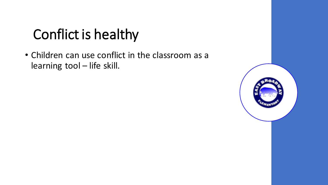## Conflict is healthy

• Children can use conflict in the classroom as a learning tool – life skill.

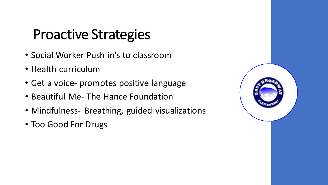#### Proactive Strategies

- Social Worker Push in's to classroom
- Health curriculum
- Get a voice- promotes positive language
- Beautiful Me- The Hance Foundation
- Mindfulness- Breathing, guided visualizations
- Too Good For Drugs

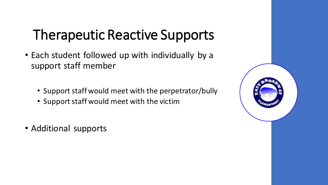## Therapeutic Reactive Supports

- Each student followed up with individually by a support staff member
	- Support staff would meet with the perpetrator/bully
	- Support staff would meet with the victim
- Additional supports

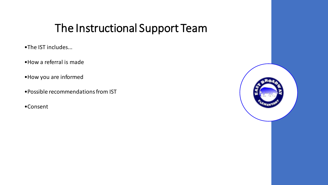#### The Instructional Support Team

- •The IST includes...
- •How a referral is made
- •How you are informed
- •Possible recommendations from IST
- •Consent

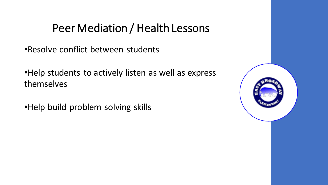#### Peer Mediation / Health Lessons

•Resolve conflict between students

•Help students to actively listen as well as express themselves

•Help build problem solving skills

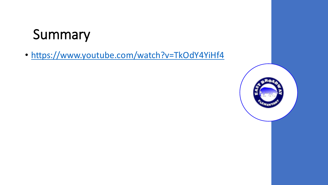### Summary

• <https://www.youtube.com/watch?v=TkOdY4YiHf4>

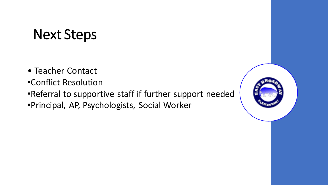#### Next Steps

- Teacher Contact
- •Conflict Resolution
- •Referral to supportive staff if further support needed
- •Principal, AP, Psychologists, Social Worker